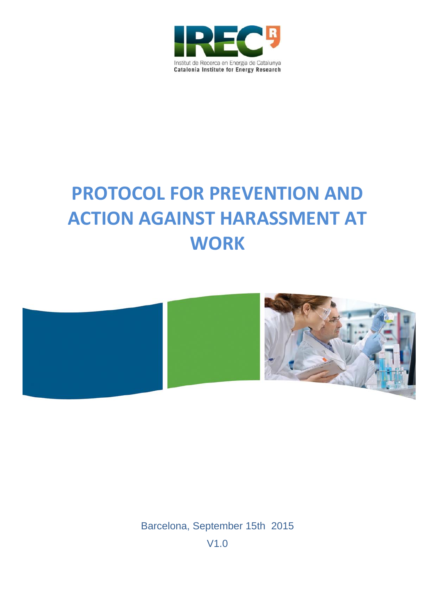

# **PROTOCOL FOR PREVENTION AND ACTION AGAINST HARASSMENT AT WORK**



Barcelona, September 15th 2015 V1.0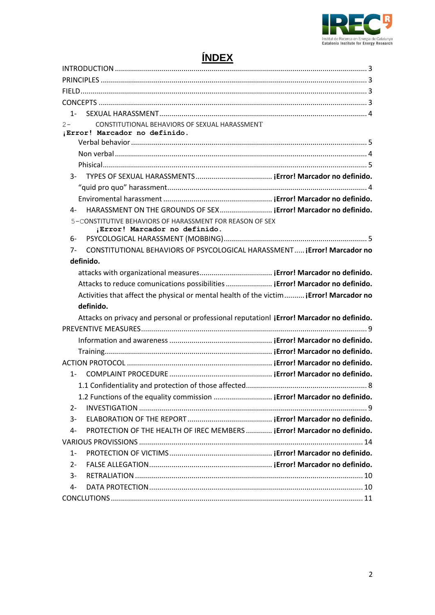

## **ÍNDEX**

| CONSTITUTIONAL BEHAVIORS OF SEXUAL HARASSMENT<br>$2 -$                                    |  |
|-------------------------------------------------------------------------------------------|--|
| ¡Error! Marcador no definido.                                                             |  |
|                                                                                           |  |
|                                                                                           |  |
|                                                                                           |  |
| 3-                                                                                        |  |
|                                                                                           |  |
|                                                                                           |  |
| HARASSMENT ON THE GROUNDS OF SEX ¡ [Error! Marcador no definido.<br>4-                    |  |
| 5-CONSTITUTIVE BEHAVIORS OF HARASSMENT FOR REASON OF SEX<br>¡Error! Marcador no definido. |  |
| 6-                                                                                        |  |
| CONSTITUTIONAL BEHAVIORS OF PSYCOLOGICAL HARASSMENT jError! Marcador no<br>7-             |  |
| definido.                                                                                 |  |
|                                                                                           |  |
| Attacks to reduce comunications possibilities  ¡ Error! Marcador no definido.             |  |
| Activities that affect the physical or mental health of the victim ¡ Error! Marcador no   |  |
| definido.                                                                                 |  |
| Attacks on privacy and personal or professional reputationl jError! Marcador no definido. |  |
|                                                                                           |  |
|                                                                                           |  |
|                                                                                           |  |
|                                                                                           |  |
| $1 -$                                                                                     |  |
|                                                                                           |  |
| 1.2 Functions of the equality commission  ¡Error! Marcador no definido.                   |  |
| $2 -$                                                                                     |  |
| $3-$                                                                                      |  |
| PROTECTION OF THE HEALTH OF IREC MEMBERS  ¡ Error! Marcador no definido.<br>$4-$          |  |
|                                                                                           |  |
| $1 -$                                                                                     |  |
| $2 -$                                                                                     |  |
| $3-$                                                                                      |  |
| 4-                                                                                        |  |
|                                                                                           |  |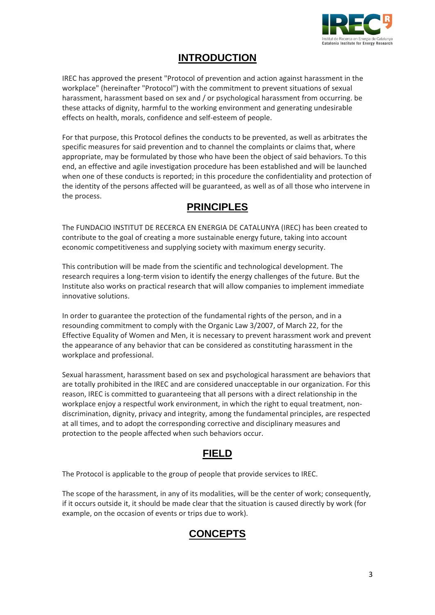

## **INTRODUCTION**

<span id="page-2-0"></span>IREC has approved the present "Protocol of prevention and action against harassment in the workplace" (hereinafter "Protocol") with the commitment to prevent situations of sexual harassment, harassment based on sex and / or psychological harassment from occurring. be these attacks of dignity, harmful to the working environment and generating undesirable effects on health, morals, confidence and self-esteem of people.

For that purpose, this Protocol defines the conducts to be prevented, as well as arbitrates the specific measures for said prevention and to channel the complaints or claims that, where appropriate, may be formulated by those who have been the object of said behaviors. To this end, an effective and agile investigation procedure has been established and will be launched when one of these conducts is reported; in this procedure the confidentiality and protection of the identity of the persons affected will be guaranteed, as well as of all those who intervene in the process.

## **PRINCIPLES**

<span id="page-2-1"></span>The FUNDACIO INSTITUT DE RECERCA EN ENERGIA DE CATALUNYA (IREC) has been created to contribute to the goal of creating a more sustainable energy future, taking into account economic competitiveness and supplying society with maximum energy security.

This contribution will be made from the scientific and technological development. The research requires a long-term vision to identify the energy challenges of the future. But the Institute also works on practical research that will allow companies to implement immediate innovative solutions.

In order to guarantee the protection of the fundamental rights of the person, and in a resounding commitment to comply with the Organic Law 3/2007, of March 22, for the Effective Equality of Women and Men, it is necessary to prevent harassment work and prevent the appearance of any behavior that can be considered as constituting harassment in the workplace and professional.

Sexual harassment, harassment based on sex and psychological harassment are behaviors that are totally prohibited in the IREC and are considered unacceptable in our organization. For this reason, IREC is committed to guaranteeing that all persons with a direct relationship in the workplace enjoy a respectful work environment, in which the right to equal treatment, nondiscrimination, dignity, privacy and integrity, among the fundamental principles, are respected at all times, and to adopt the corresponding corrective and disciplinary measures and protection to the people affected when such behaviors occur.

## **FIELD**

<span id="page-2-2"></span>The Protocol is applicable to the group of people that provide services to IREC.

<span id="page-2-3"></span>The scope of the harassment, in any of its modalities, will be the center of work; consequently, if it occurs outside it, it should be made clear that the situation is caused directly by work (for example, on the occasion of events or trips due to work).

## **CONCEPTS**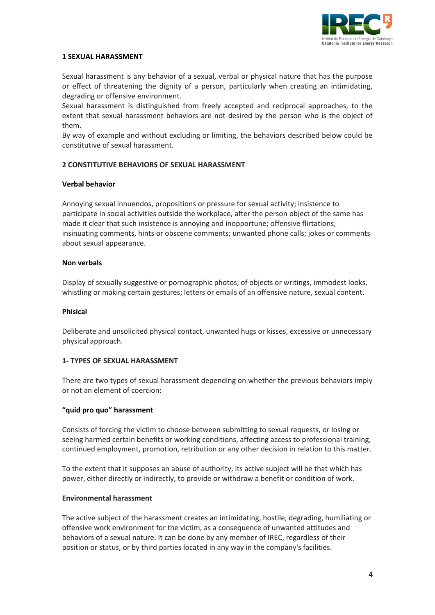

#### <span id="page-3-0"></span>**1 SEXUAL HARASSMENT**

Sexual harassment is any behavior of a sexual, verbal or physical nature that has the purpose or effect of threatening the dignity of a person, particularly when creating an intimidating, degrading or offensive environment.

Sexual harassment is distinguished from freely accepted and reciprocal approaches, to the extent that sexual harassment behaviors are not desired by the person who is the object of them.

By way of example and without excluding or limiting, the behaviors described below could be constitutive of sexual harassment.

#### **2 CONSTITUTIVE BEHAVIORS OF SEXUAL HARASSMENT**

#### **Verbal behavior**

Annoying sexual innuendos, propositions or pressure for sexual activity; insistence to participate in social activities outside the workplace, after the person object of the same has made it clear that such insistence is annoying and inopportune; offensive flirtations; insinuating comments, hints or obscene comments; unwanted phone calls; jokes or comments about sexual appearance.

#### <span id="page-3-1"></span>**Non verbals**

Display of sexually suggestive or pornographic photos, of objects or writings, immodest looks, whistling or making certain gestures; letters or emails of an offensive nature, sexual content.

#### **Phisical**

Deliberate and unsolicited physical contact, unwanted hugs or kisses, excessive or unnecessary physical approach.

#### **1- TYPES OF SEXUAL HARASSMENT**

There are two types of sexual harassment depending on whether the previous behaviors imply or not an element of coercion:

#### <span id="page-3-2"></span>**"quid pro quo" harassment**

Consists of forcing the victim to choose between submitting to sexual requests, or losing or seeing harmed certain benefits or working conditions, affecting access to professional training, continued employment, promotion, retribution or any other decision in relation to this matter.

To the extent that it supposes an abuse of authority, its active subject will be that which has power, either directly or indirectly, to provide or withdraw a benefit or condition of work.

#### **Environmental harassment**

The active subject of the harassment creates an intimidating, hostile, degrading, humiliating or offensive work environment for the victim, as a consequence of unwanted attitudes and behaviors of a sexual nature. It can be done by any member of IREC, regardless of their position or status, or by third parties located in any way in the company's facilities.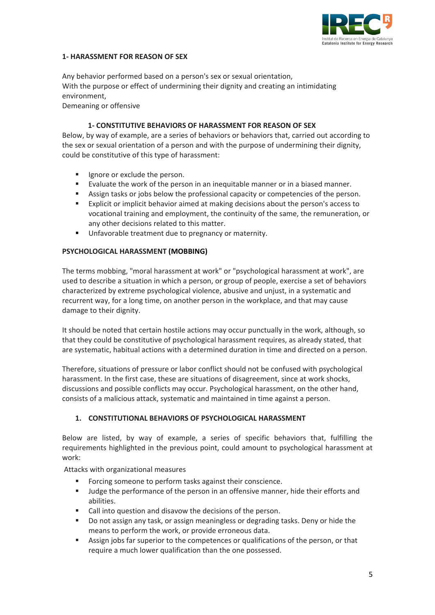

#### **1- HARASSMENT FOR REASON OF SEX**

Any behavior performed based on a person's sex or sexual orientation, With the purpose or effect of undermining their dignity and creating an intimidating environment,

Demeaning or offensive

#### **1- CONSTITUTIVE BEHAVIORS OF HARASSMENT FOR REASON OF SEX**

Below, by way of example, are a series of behaviors or behaviors that, carried out according to the sex or sexual orientation of a person and with the purpose of undermining their dignity, could be constitutive of this type of harassment:

- **If all propersion I** and person.
- Evaluate the work of the person in an inequitable manner or in a biased manner.
- Assign tasks or jobs below the professional capacity or competencies of the person.
- Explicit or implicit behavior aimed at making decisions about the person's access to vocational training and employment, the continuity of the same, the remuneration, or any other decisions related to this matter.
- **Unfavorable treatment due to pregnancy or maternity.**

#### <span id="page-4-0"></span>**PSYCHOLOGICAL HARASSMENT (MOBBING)**

The terms mobbing, "moral harassment at work" or "psychological harassment at work", are used to describe a situation in which a person, or group of people, exercise a set of behaviors characterized by extreme psychological violence, abusive and unjust, in a systematic and recurrent way, for a long time, on another person in the workplace, and that may cause damage to their dignity.

It should be noted that certain hostile actions may occur punctually in the work, although, so that they could be constitutive of psychological harassment requires, as already stated, that are systematic, habitual actions with a determined duration in time and directed on a person.

Therefore, situations of pressure or labor conflict should not be confused with psychological harassment. In the first case, these are situations of disagreement, since at work shocks, discussions and possible conflicts may occur. Psychological harassment, on the other hand, consists of a malicious attack, systematic and maintained in time against a person.

#### **1. CONSTITUTIONAL BEHAVIORS OF PSYCHOLOGICAL HARASSMENT**

Below are listed, by way of example, a series of specific behaviors that, fulfilling the requirements highlighted in the previous point, could amount to psychological harassment at work:

Attacks with organizational measures

- **FIC FORCING** SOME **FOR 19 IS SOME ONE OF STATE EXAMPLE TO FAIL FOR SOME THE FORCIST FORCIST FOR SOME THE FORCIST FORCIST FORCIST FORCIST FOR SOME THE FORCIST FORCIST FORCIST FORCIST FOR SOME THE FORCIST FORCIST FORCIST FO**
- Judge the performance of the person in an offensive manner, hide their efforts and abilities.
- Call into question and disavow the decisions of the person.
- Do not assign any task, or assign meaningless or degrading tasks. Deny or hide the means to perform the work, or provide erroneous data.
- Assign jobs far superior to the competences or qualifications of the person, or that require a much lower qualification than the one possessed.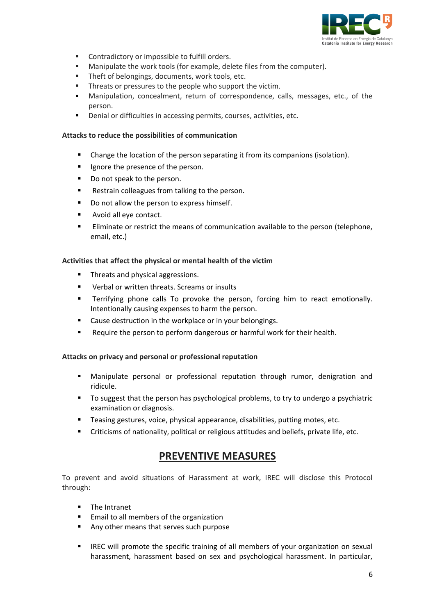

- **Contradictory or impossible to fulfill orders.**
- **Manipulate the work tools (for example, delete files from the computer).**
- Theft of belongings, documents, work tools, etc.
- Threats or pressures to the people who support the victim.
- Manipulation, concealment, return of correspondence, calls, messages, etc., of the person.
- **•** Denial or difficulties in accessing permits, courses, activities, etc.

#### **Attacks to reduce the possibilities of communication**

- **•** Change the location of the person separating it from its companions (isolation).
- **If** Ignore the presence of the person.
- Do not speak to the person.
- **Restrain colleagues from talking to the person.**
- Do not allow the person to express himself.
- **Avoid all eye contact.**
- Eliminate or restrict the means of communication available to the person (telephone, email, etc.)

#### **Activities that affect the physical or mental health of the victim**

- Threats and physical aggressions.
- **UPICAL STARK Verbal or written threats. Screams or insults**
- **Terrifying phone calls To provoke the person, forcing him to react emotionally.** Intentionally causing expenses to harm the person.
- **EXEC** Cause destruction in the workplace or in your belongings.
- Require the person to perform dangerous or harmful work for their health.

#### **Attacks on privacy and personal or professional reputation**

- Manipulate personal or professional reputation through rumor, denigration and ridicule.
- To suggest that the person has psychological problems, to try to undergo a psychiatric examination or diagnosis.
- Teasing gestures, voice, physical appearance, disabilities, putting motes, etc.
- Criticisms of nationality, political or religious attitudes and beliefs, private life, etc.

### **PREVENTIVE MEASURES**

To prevent and avoid situations of Harassment at work, IREC will disclose this Protocol through:

- **The Intranet**
- **Email to all members of the organization**
- Any other means that serves such purpose
- **IREC will promote the specific training of all members of your organization on sexual** harassment, harassment based on sex and psychological harassment. In particular,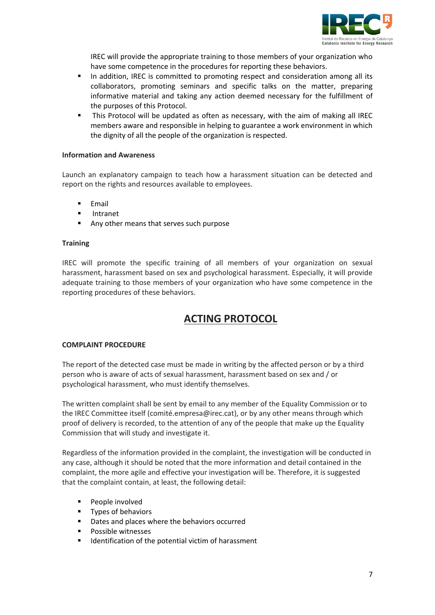

IREC will provide the appropriate training to those members of your organization who have some competence in the procedures for reporting these behaviors.

- In addition, IREC is committed to promoting respect and consideration among all its collaborators, promoting seminars and specific talks on the matter, preparing informative material and taking any action deemed necessary for the fulfillment of the purposes of this Protocol.
- This Protocol will be updated as often as necessary, with the aim of making all IREC members aware and responsible in helping to guarantee a work environment in which the dignity of all the people of the organization is respected.

#### **Information and Awareness**

Launch an explanatory campaign to teach how a harassment situation can be detected and report on the rights and resources available to employees.

- $E$ mail
- Intranet
- Any other means that serves such purpose

#### **Training**

IREC will promote the specific training of all members of your organization on sexual harassment, harassment based on sex and psychological harassment. Especially, it will provide adequate training to those members of your organization who have some competence in the reporting procedures of these behaviors.

## **ACTING PROTOCOL**

#### **COMPLAINT PROCEDURE**

The report of the detected case must be made in writing by the affected person or by a third person who is aware of acts of sexual harassment, harassment based on sex and / or psychological harassment, who must identify themselves.

The written complaint shall be sent by email to any member of the Equality Commission or to the IREC Committee itself (comité.empresa@irec.cat), or by any other means through which proof of delivery is recorded, to the attention of any of the people that make up the Equality Commission that will study and investigate it.

Regardless of the information provided in the complaint, the investigation will be conducted in any case, although it should be noted that the more information and detail contained in the complaint, the more agile and effective your investigation will be. Therefore, it is suggested that the complaint contain, at least, the following detail:

- **People involved**
- **Types of behaviors**
- Dates and places where the behaviors occurred
- **Possible witnesses**
- Identification of the potential victim of harassment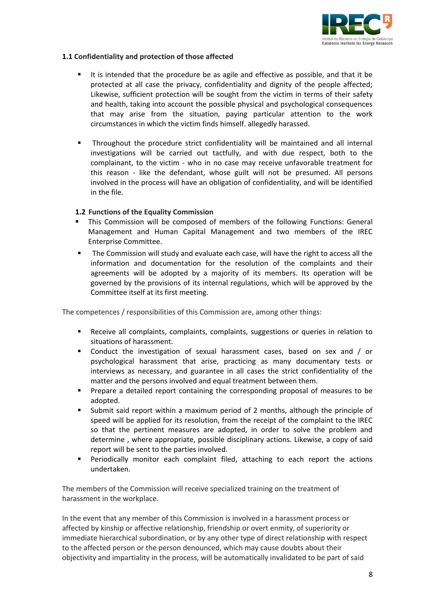

#### <span id="page-7-0"></span>**1.1 Confidentiality and protection of those affected**

- It is intended that the procedure be as agile and effective as possible, and that it be protected at all case the privacy, confidentiality and dignity of the people affected; Likewise, sufficient protection will be sought from the victim in terms of their safety and health, taking into account the possible physical and psychological consequences that may arise from the situation, paying particular attention to the work circumstances in which the victim finds himself. allegedly harassed.
- Throughout the procedure strict confidentiality will be maintained and all internal investigations will be carried out tactfully, and with due respect, both to the complainant, to the victim - who in no case may receive unfavorable treatment for this reason - like the defendant, whose guilt will not be presumed. All persons involved in the process will have an obligation of confidentiality, and will be identified in the file.

#### **1.2 Functions of the Equality Commission**

- This Commission will be composed of members of the following Functions: General Management and Human Capital Management and two members of the IREC Enterprise Committee.
- The Commission will study and evaluate each case, will have the right to access all the information and documentation for the resolution of the complaints and their agreements will be adopted by a majority of its members. Its operation will be governed by the provisions of its internal regulations, which will be approved by the Committee itself at its first meeting.

The competences / responsibilities of this Commission are, among other things:

- Receive all complaints, complaints, complaints, suggestions or queries in relation to situations of harassment.
- Conduct the investigation of sexual harassment cases, based on sex and / or psychological harassment that arise, practicing as many documentary tests or interviews as necessary, and guarantee in all cases the strict confidentiality of the matter and the persons involved and equal treatment between them.
- **Prepare a detailed report containing the corresponding proposal of measures to be** adopted.
- Submit said report within a maximum period of 2 months, although the principle of speed will be applied for its resolution, from the receipt of the complaint to the IREC so that the pertinent measures are adopted, in order to solve the problem and determine , where appropriate, possible disciplinary actions. Likewise, a copy of said report will be sent to the parties involved.
- Periodically monitor each complaint filed, attaching to each report the actions undertaken.

The members of the Commission will receive specialized training on the treatment of harassment in the workplace.

In the event that any member of this Commission is involved in a harassment process or affected by kinship or affective relationship, friendship or overt enmity, of superiority or immediate hierarchical subordination, or by any other type of direct relationship with respect to the affected person or the person denounced, which may cause doubts about their objectivity and impartiality in the process, will be automatically invalidated to be part of said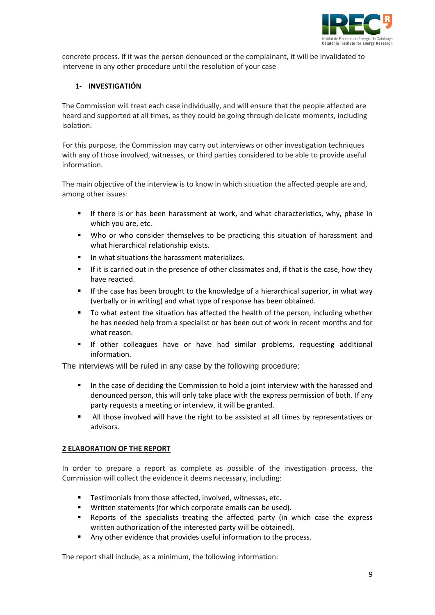

concrete process. If it was the person denounced or the complainant, it will be invalidated to intervene in any other procedure until the resolution of your case

#### <span id="page-8-0"></span>**1- INVESTIGATIÓN**

The Commission will treat each case individually, and will ensure that the people affected are heard and supported at all times, as they could be going through delicate moments, including isolation.

For this purpose, the Commission may carry out interviews or other investigation techniques with any of those involved, witnesses, or third parties considered to be able to provide useful information.

The main objective of the interview is to know in which situation the affected people are and, among other issues:

- If there is or has been harassment at work, and what characteristics, why, phase in which you are, etc.
- Who or who consider themselves to be practicing this situation of harassment and what hierarchical relationship exists.
- In what situations the harassment materializes.
- If it is carried out in the presence of other classmates and, if that is the case, how they have reacted.
- If the case has been brought to the knowledge of a hierarchical superior, in what way (verbally or in writing) and what type of response has been obtained.
- To what extent the situation has affected the health of the person, including whether he has needed help from a specialist or has been out of work in recent months and for what reason.
- If other colleagues have or have had similar problems, requesting additional information.

The interviews will be ruled in any case by the following procedure:

- In the case of deciding the Commission to hold a joint interview with the harassed and denounced person, this will only take place with the express permission of both. If any party requests a meeting or interview, it will be granted.
- All those involved will have the right to be assisted at all times by representatives or advisors.

#### **2 ELABORATION OF THE REPORT**

In order to prepare a report as complete as possible of the investigation process, the Commission will collect the evidence it deems necessary, including:

- Testimonials from those affected, involved, witnesses, etc.
- Written statements (for which corporate emails can be used).
- **EXECT** Reports of the specialists treating the affected party (in which case the express written authorization of the interested party will be obtained).
- Any other evidence that provides useful information to the process.

The report shall include, as a minimum, the following information: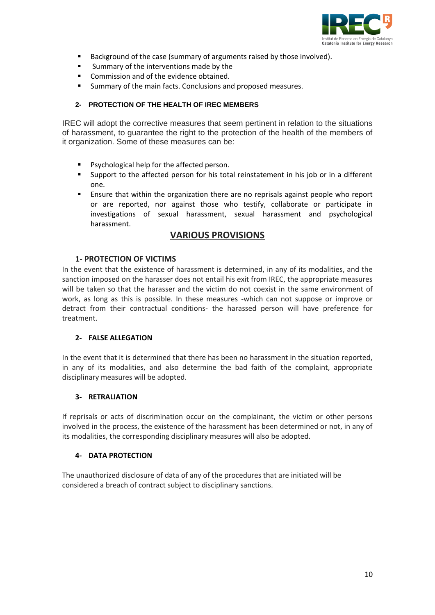

- Background of the case (summary of arguments raised by those involved).
- **Summary of the interventions made by the**
- **Commission and of the evidence obtained.**
- Summary of the main facts. Conclusions and proposed measures.

#### **2- PROTECTION OF THE HEALTH OF IREC MEMBERS**

IREC will adopt the corrective measures that seem pertinent in relation to the situations of harassment, to guarantee the right to the protection of the health of the members of it organization. Some of these measures can be:

- Psychological help for the affected person.
- Support to the affected person for his total reinstatement in his job or in a different one.
- Ensure that within the organization there are no reprisals against people who report or are reported, nor against those who testify, collaborate or participate in investigations of sexual harassment, sexual harassment and psychological harassment.

#### **VARIOUS PROVISIONS**

#### **1- PROTECTION OF VICTIMS**

In the event that the existence of harassment is determined, in any of its modalities, and the sanction imposed on the harasser does not entail his exit from IREC, the appropriate measures will be taken so that the harasser and the victim do not coexist in the same environment of work, as long as this is possible. In these measures -which can not suppose or improve or detract from their contractual conditions- the harassed person will have preference for treatment.

#### **2- FALSE ALLEGATION**

In the event that it is determined that there has been no harassment in the situation reported, in any of its modalities, and also determine the bad faith of the complaint, appropriate disciplinary measures will be adopted.

#### <span id="page-9-0"></span>**3- RETRALIATION**

If reprisals or acts of discrimination occur on the complainant, the victim or other persons involved in the process, the existence of the harassment has been determined or not, in any of its modalities, the corresponding disciplinary measures will also be adopted.

#### <span id="page-9-1"></span>**4- DATA PROTECTION**

The unauthorized disclosure of data of any of the procedures that are initiated will be considered a breach of contract subject to disciplinary sanctions.